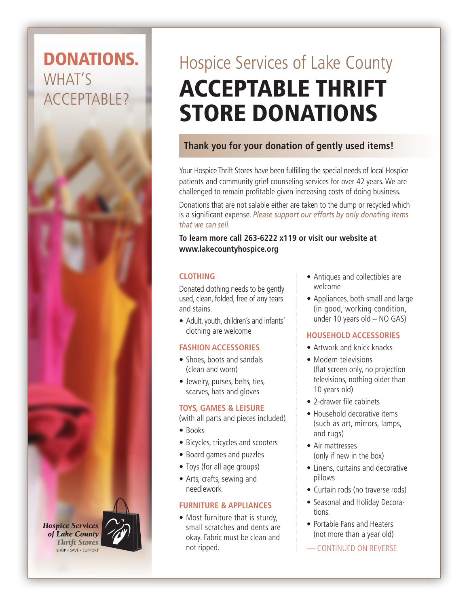# DONATIONS. WHAT'S ACCEPTABLE?

**Hospice Services** of Lake County **Thrift Stores** SHOP . SAVE . SUPPORT

# Hospice Services of Lake County ACCEPTABLE THRIFT STORE DONATIONS

## **Thank you for your donation of gently used items!**

Your Hospice Thrift Stores have been fulfilling the special needs of local Hospice patients and community grief counseling services for over 42 years. We are challenged to remain profitable given increasing costs of doing business.

Donations that are not salable either are taken to the dump or recycled which is a significant expense. *Please support our efforts by only donating items that we can sell.*

**To learn more call 263-6222 x119 or visit our website at www.lakecountyhospice.org**

#### **CLOTHING**

Donated clothing needs to be gently used, clean, folded, free of any tears and stains.

• Adult, youth, children's and infants' clothing are welcome

#### **FASHION ACCESSORIES**

- Shoes, boots and sandals (clean and worn)
- Jewelry, purses, belts, ties, scarves, hats and gloves

#### **TOYS, GAMES & LEISURE**

(with all parts and pieces included)

- Books
- Bicycles, tricycles and scooters
- Board games and puzzles
- Toys (for all age groups)
- Arts, crafts, sewing and needlework

#### **FURNITURE & APPLIANCES**

• Most furniture that is sturdy, small scratches and dents are okay. Fabric must be clean and not ripped.

- Antiques and collectibles are welcome
- Appliances, both small and large (in good, working condition, under 10 years old – NO GAS)

#### **HOUSEHOLD ACCESSORIES**

- Artwork and knick knacks
- Modern televisions (flat screen only, no projection televisions, nothing older than 10 years old)
- 2-drawer file cabinets
- Household decorative items (such as art, mirrors, lamps, and rugs)
- Air mattresses (only if new in the box)
- Linens, curtains and decorative pillows
- Curtain rods (no traverse rods)
- Seasonal and Holiday Decorations.
- Portable Fans and Heaters (not more than a year old)
- CONTINUED ON REVERSE